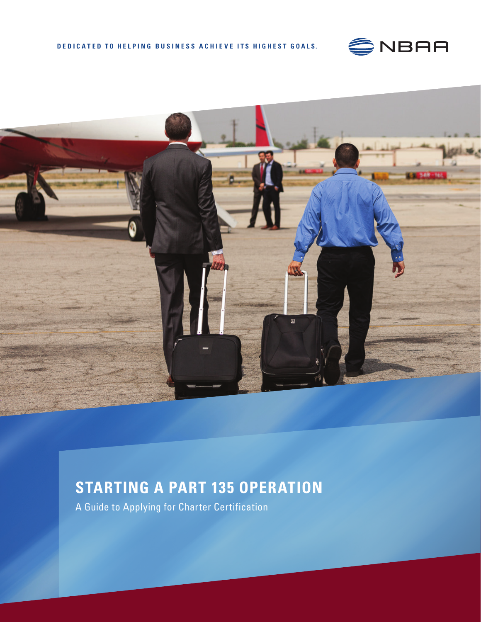



# **STARTING A PART 135 OPERATION**

A Guide to Applying for Charter Certification

**1** Pilot Records Improvement Act Guide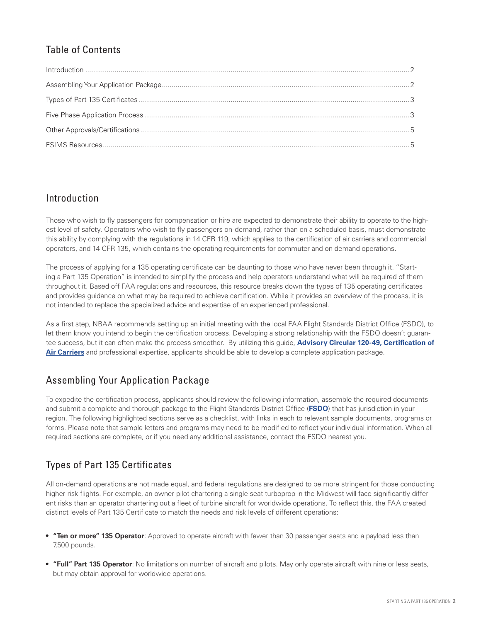# Table of Contents

### Introduction

Those who wish to fly passengers for compensation or hire are expected to demonstrate their ability to operate to the highest level of safety. Operators who wish to fly passengers on-demand, rather than on a scheduled basis, must demonstrate this ability by complying with the regulations in 14 CFR 119, which applies to the certification of air carriers and commercial operators, and 14 CFR 135, which contains the operating requirements for commuter and on demand operations.

The process of applying for a 135 operating certificate can be daunting to those who have never been through it. "Starting a Part 135 Operation" is intended to simplify the process and help operators understand what will be required of them throughout it. Based off FAA regulations and resources, this resource breaks down the types of 135 operating certificates and provides guidance on what may be required to achieve certification. While it provides an overview of the process, it is not intended to replace the specialized advice and expertise of an experienced professional.

As a first step, NBAA recommends setting up an initial meeting with the local FAA Flight Standards District Office (FSDO), to let them know you intend to begin the certification process. Developing a strong relationship with the FSDO doesn't guarantee success, but it can often make the process smoother. By utilizing this guide, **[Advisory Circular 120-49, Certification of](http://rgl.faa.gov/Regulatory_and_Guidance_Library/rgAdvisoryCircular.nsf/list/AC%20120-49/)  [Air Carriers](http://rgl.faa.gov/Regulatory_and_Guidance_Library/rgAdvisoryCircular.nsf/list/AC%20120-49/)** and professional expertise, applicants should be able to develop a complete application package.

## Assembling Your Application Package

To expedite the certification process, applicants should review the following information, assemble the required documents and submit a complete and thorough package to the Flight Standards District Office (**[FSDO](https://www.faa.gov/about/office_org/field_offices/fsdo/)**) that has jurisdiction in your region. The following highlighted sections serve as a checklist, with links in each to relevant sample documents, programs or forms. Please note that sample letters and programs may need to be modified to reflect your individual information. When all required sections are complete, or if you need any additional assistance, contact the FSDO nearest you.

# Types of Part 135 Certificates

All on-demand operations are not made equal, and federal regulations are designed to be more stringent for those conducting higher-risk flights. For example, an owner-pilot chartering a single seat turboprop in the Midwest will face significantly different risks than an operator chartering out a fleet of turbine aircraft for worldwide operations. To reflect this, the FAA created distinct levels of Part 135 Certificate to match the needs and risk levels of different operations:

- **• "Ten or more" 135 Operator**: Approved to operate aircraft with fewer than 30 passenger seats and a payload less than 7,500 pounds.
- **• "Full" Part 135 Operator**: No limitations on number of aircraft and pilots. May only operate aircraft with nine or less seats, but may obtain approval for worldwide operations.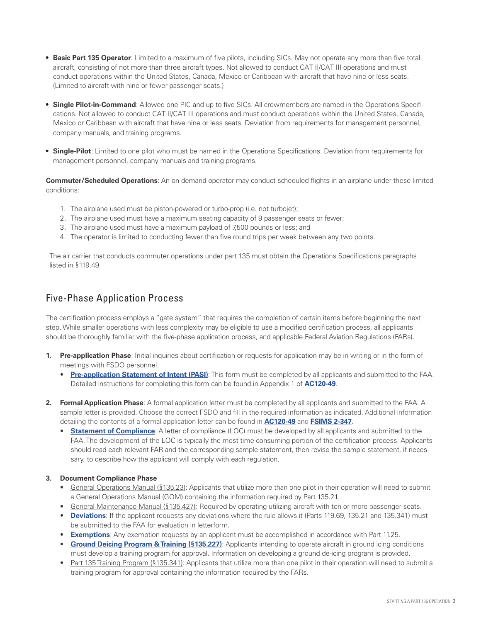- **• Basic Part 135 Operator**: Limited to a maximum of five pilots, including SICs. May not operate any more than five total aircraft, consisting of not more than three aircraft types. Not allowed to conduct CAT II/CAT III operations and must conduct operations within the United States, Canada, Mexico or Caribbean with aircraft that have nine or less seats. (Limited to aircraft with nine or fewer passenger seats.)
- **• Single Pilot-in-Command**: Allowed one PIC and up to five SICs. All crewmembers are named in the Operations Specifications. Not allowed to conduct CAT II/CAT III operations and must conduct operations within the United States, Canada, Mexico or Caribbean with aircraft that have nine or less seats. Deviation from requirements for management personnel, company manuals, and training programs.
- **• Single-Pilot**: Limited to one pilot who must be named in the Operations Specifications. Deviation from requirements for management personnel, company manuals and training programs.

**Commuter/Scheduled Operations**: An on-demand operator may conduct scheduled flights in an airplane under these limited conditions:

- 1. The airplane used must be piston-powered or turbo-prop (i.e. not turbojet);
- 2. The airplane used must have a maximum seating capacity of 9 passenger seats or fewer;
- 3. The airplane used must have a maximum payload of 7,500 pounds or less; and
- 4. The operator is limited to conducting fewer than five round trips per week between any two points.

The air carrier that conducts commuter operations under part 135 must obtain the Operations Specifications paragraphs listed in §119.49.

### Five-Phase Application Process

The certification process employs a "gate system" that requires the completion of certain items before beginning the next step. While smaller operations with less complexity may be eligible to use a modified certification process, all applicants should be thoroughly familiar with the five-phase application process, and applicable Federal Aviation Regulations (FARs).

- **1. Pre-application Phase**: Initial inquiries about certification or requests for application may be in writing or in the form of meetings with FSDO personnel.
	- **[Pre-application Statement of Intent \(PASI\)](https://www.faa.gov/documentLibrary/media/Form/FAA_Form_8400-6.pdf)**: This form must be completed by all applicants and submitted to the FAA. Detailed instructions for completing this form can be found in Appendix 1 of **[AC120-49](http://rgl.faa.gov/Regulatory_and_Guidance_Library/rgAdvisoryCircular.nsf/list/AC%20120-49/)**.
- **2. Formal Application Phase**: A formal application letter must be completed by all applicants and submitted to the FAA. A sample letter is provided. Choose the correct FSDO and fill in the required information as indicated. Additional information detailing the contents of a formal application letter can be found in **[AC120-49](http://rgl.faa.gov/Regulatory_and_Guidance_Library/rgAdvisoryCircular.nsf/list/AC%20120-49/)** and **[FSIMS 2-347](http://fsims.faa.gov/PICDetail.aspx?docId=8900.1,Vol.2,Ch4,Sec1_SAS)**.
	- **[Statement of Compliance](http://r.duckduckgo.com/l/?kh=-1&uddg=http%3A%2F%2Fwww.air.flyingway.com%2Ffaa%2F135%2520Cert.%2520Pack%2520AMEL%2520IFR%2FCompliance%2520LOC%2520for%2520%2520AMEL%2520IFR%2520operations.doc)**: A letter of compliance (LOC) must be developed by all applicants and submitted to the FAA. The development of the LOC is typically the most time-consuming portion of the certification process. Applicants should read each relevant FAR and the corresponding sample statement, then revise the sample statement, if necessary, to describe how the applicant will comply with each regulation.

#### **3. Document Compliance Phase**

- General Operations Manual (§135.23): Applicants that utilize more than one pilot in their operation will need to submit a General Operations Manual (GOM) containing the information required by Part 135.21.
- General Maintenance Manual (§135.427): Required by operating utilizing aircraft with ten or more passenger seats.
- **[Deviations](http://fsims.faa.gov/wdocs/8900.1/v02%20air%20op%20&%20agency%20cert/chapter%2002/02_002_003.htm)**: If the applicant requests any deviations where the rule allows it (Parts 119.69, 135.21 and 135.341) must be submitted to the FAA for evaluation in letterform.
- **[Exemptions](https://www.faa.gov/regulations_policies/rulemaking/petition/)**: Any exemption requests by an applicant must be accomplished in accordance with Part 11.25.
- **[Ground Deicing Program & Training \(§135.227\)](http://www.airweb.faa.gov/Regulatory_and_Guidance_Library/rgAdvisoryCircular.nsf/1ab39b4ed563b08985256a35006d56af/cb561eed09a1a561862569eb006cf4b0/$FILE/ac135-16.pdf)**: Applicants intending to operate aircraft in ground icing conditions must develop a training program for approval. Information on developing a ground de-icing program is provided.
- Part 135 Training Program (§135.341): Applicants that utilize more than one pilot in their operation will need to submit a training program for approval containing the information required by the FARs.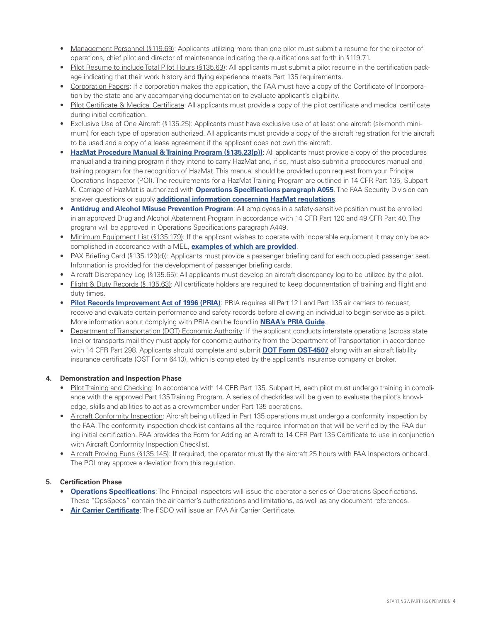- Management Personnel (§119.69): Applicants utilizing more than one pilot must submit a resume for the director of operations, chief pilot and director of maintenance indicating the qualifications set forth in §119.71.
- Pilot Resume to include Total Pilot Hours (§135.63): All applicants must submit a pilot resume in the certification package indicating that their work history and flying experience meets Part 135 requirements.
- Corporation Papers: If a corporation makes the application, the FAA must have a copy of the Certificate of Incorporation by the state and any accompanying documentation to evaluate applicant's eligibility.
- Pilot Certificate & Medical Certificate: All applicants must provide a copy of the pilot certificate and medical certificate during initial certification.
- Exclusive Use of One Aircraft (§135.25): Applicants must have exclusive use of at least one aircraft (six-month minimum) for each type of operation authorized. All applicants must provide a copy of the aircraft registration for the aircraft to be used and a copy of a lease agreement if the applicant does not own the aircraft.
- **[HazMat Procedure Manual & Training Program \(§135.23\(p\)\)](http://fsims.faa.gov/PICDetail.aspx?docId=8900.1,Vol.2,Ch2,Sec6)**: All applicants must provide a copy of the procedures manual and a training program if they intend to carry HazMat and, if so, must also submit a procedures manual and training program for the recognition of HazMat. This manual should be provided upon request from your Principal Operations Inspector (POI). The requirements for a HazMat Training Program are outlined in 14 CFR Part 135, Subpart K. Carriage of HazMat is authorized with **[Operations Specifications paragraph A055](http://fsims.faa.gov/PICDetail.aspx?docId=8900.1,Vol.3,Ch18,Sec3)**. The FAA Security Division can answer questions or supply **[additional information concerning HazMat regulations](https://www.faa.gov/about/office_org/headquarters_offices/ash/ash_programs/hazmat/)**.
- **[Antidrug and Alcohol Misuse Prevention Program](https://www.faa.gov/about/office_org/headquarters_offices/avs/offices/aam/drug_alcohol/):** All employees in a safety-sensitive position must be enrolled in an approved Drug and Alcohol Abatement Program in accordance with 14 CFR Part 120 and 49 CFR Part 40. The program will be approved in Operations Specifications paragraph A449.
- Minimum Equipment List (§135.179): If the applicant wishes to operate with inoperable equipment it may only be accomplished in accordance with a MEL, **[examples of which are provided](http://fsims.faa.gov/PICResults.aspx?mode=Publication&doctype=MMEL)**.
- PAX Briefing Card (§135.129(d)): Applicants must provide a passenger briefing card for each occupied passenger seat. Information is provided for the development of passenger briefing cards.
- Aircraft Discrepancy Log (§135.65): All applicants must develop an aircraft discrepancy log to be utilized by the pilot.
- Flight & Duty Records (§.135.63): All certificate holders are required to keep documentation of training and flight and duty times.
- **[Pilot Records Improvement Act of 1996 \(PRIA\)](https://www.faa.gov/pilots/lic_cert/pria/)**: PRIA requires all Part 121 and Part 135 air carriers to request, receive and evaluate certain performance and safety records before allowing an individual to begin service as a pilot. More information about complying with PRIA can be found in **[NBAA's PRIA Guide](https://www.nbaa.org/admin/personnel/pria/)**.
- Department of Transportation (DOT) Economic Authority: If the applicant conducts interstate operations (across state line) or transports mail they must apply for economic authority from the Department of Transportation in accordance with 14 CFR Part 298. Applicants should complete and submit **[DOT Form OST-4507](https://www.faa.gov/about/office_org/headquarters_offices/avs/offices/afx/afs/afs200/afs260/exemptions/)** along with an aircraft liability insurance certificate (OST Form 6410), which is completed by the applicant's insurance company or broker.

#### **4. Demonstration and Inspection Phase**

- Pilot Training and Checking: In accordance with 14 CFR Part 135, Subpart H, each pilot must undergo training in compliance with the approved Part 135 Training Program. A series of checkrides will be given to evaluate the pilot's knowledge, skills and abilities to act as a crewmember under Part 135 operations.
- Aircraft Conformity Inspection: Aircraft being utilized in Part 135 operations must undergo a conformity inspection by the FAA. The conformity inspection checklist contains all the required information that will be verified by the FAA during initial certification. FAA provides the Form for Adding an Aircraft to 14 CFR Part 135 Certificate to use in conjunction with Aircraft Conformity Inspection Checklist.
- Aircraft Proving Runs (§135.145): If required, the operator must fly the aircraft 25 hours with FAA Inspectors onboard. The POI may approve a deviation from this regulation.

#### **5. Certification Phase**

- **[Operations Specifications](http://fsims.faa.gov/PICDetail.aspx?docId=8900.1,Vol.3,Ch18,Sec1)**: The Principal Inspectors will issue the operator a series of Operations Specifications. These "OpsSpecs" contain the air carrier's authorizations and limitations, as well as any document references.
- **[Air Carrier Certificate](http://fsims.faa.gov/PICDetail.aspx?docId=8900.1,Vol.2,Ch1,Sec4)**: The FSDO will issue an FAA Air Carrier Certificate.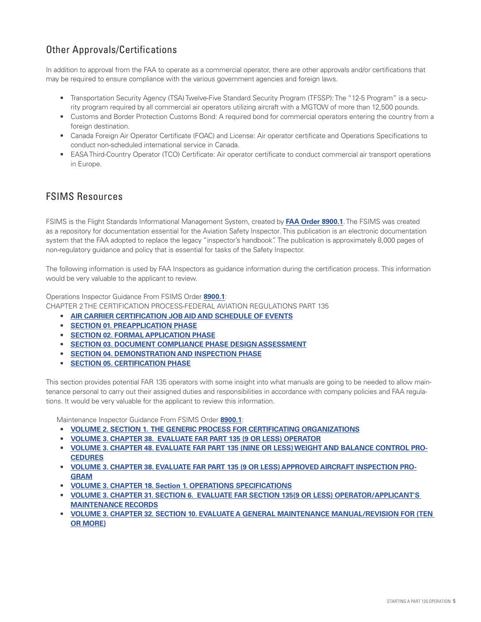## Other Approvals/Certifications

In addition to approval from the FAA to operate as a commercial operator, there are other approvals and/or certifications that may be required to ensure compliance with the various government agencies and foreign laws.

- Transportation Security Agency (TSA) Twelve-Five Standard Security Program (TFSSP): The "12-5 Program" is a security program required by all commercial air operators utilizing aircraft with a MGTOW of more than 12,500 pounds.
- Customs and Border Protection Customs Bond: A required bond for commercial operators entering the country from a foreign destination.
- Canada Foreign Air Operator Certificate (FOAC) and License: Air operator certificate and Operations Specifications to conduct non-scheduled international service in Canada.
- EASA Third-Country Operator (TCO) Certificate: Air operator certificate to conduct commercial air transport operations in Europe.

### FSIMS Resources

FSIMS is the Flight Standards Informational Management System, created by **[FAA Order 8900.1](https://www.faa.gov/documentLibrary/media/Order/8900.1.pdf)**. The FSIMS was created as a repository for documentation essential for the Aviation Safety Inspector. This publication is an electronic documentation system that the FAA adopted to replace the legacy "inspector's handbook". The publication is approximately 8,000 pages of non-regulatory guidance and policy that is essential for tasks of the Safety Inspector.

The following information is used by FAA Inspectors as guidance information during the certification process. This information would be very valuable to the applicant to review.

Operations Inspector Guidance From FSIMS Order **[8900.1](http://fsims.faa.gov/PICResults.aspx?mode=EBookContents&restricttocategory=all~menu)**:

CHAPTER 2 THE CERTIFICATION PROCESS-FEDERAL AVIATION REGULATIONS PART 135

- **[AIR CARRIER CERTIFICATION JOB AID AND SCHEDULE OF EVENTS](http://fsims.faa.gov/PICDetail.aspx?docId=8900.1,Vol.2,Ch1,Sec1_SAS)**
- **[SECTION 01. PREAPPLICATION PHASE](http://fsims.faa.gov/PICDetail.aspx?docId=8900.1,Vol.2,Ch4,Sec1_SAS)**
- **[SECTION 02. FORMAL APPLICATION PHASE](http://fsims.faa.gov/PICDetail.aspx?docId=8900.1,Vol.2,Ch4,Sec2_SAS)**
- **[SECTION 03. DOCUMENT COMPLIANCE PHASE DESIGN ASSESSMENT](http://fsims.faa.gov/PICDetail.aspx?docId=8900.1,Vol.2,Ch4,Sec3_SAS)**
- **[SECTION 04. DEMONSTRATION AND INSPECTION PHASE](http://fsims.faa.gov/PICDetail.aspx?docId=8900.1,Vol.2,Ch4,Sec4_SAS)**
- **[SECTION 05. CERTIFICATION PHASE](http://fsims.faa.gov/PICDetail.aspx?docId=8900.1,Vol.2,Ch4,Sec5_SAS)**

This section provides potential FAR 135 operators with some insight into what manuals are going to be needed to allow maintenance personal to carry out their assigned duties and responsibilities in accordance with company policies and FAA regulations. It would be very valuable for the applicant to review this information.

Maintenance Inspector Guidance From FSIMS Order **[8900.1](http://fsims.faa.gov/PICResults.aspx?mode=EBookContents&restricttocategory=all~menu)**:

- **[VOLUME 2. SECTION 1. THE GENERIC PROCESS FOR CERTIFICATING ORGANIZATIONS](http://fsims.faa.gov/PICDetail.aspx?docId=8900.1,Vol.2,Ch4,Sec8_SAS)**
- **[VOLUME 3. CHAPTER 38. EVALUATE FAR PART 135 \(9 OR LESS\) OPERATOR](http://fsims.faa.gov/wdocs/8900.1/v03%20tech%20admin/chapter%2038/03_038_001.htm)**
- **[VOLUME 3. CHAPTER 48. EVALUATE FAR PART 135 \(NINE OR LESS\) WEIGHT AND BALANCE CONTROL PRO-](http://fsims.faa.gov/PICDetail.aspx?docId=8900.1,Vol.3,Ch48,Sec1_SAS)CEDURES**
- **[VOLUME 3. CHAPTER 38. EVALUATE FAR PART 135 \(9 OR LESS\) APPROVED AIRCRAFT INSPECTION PRO-](http://fsims.faa.gov/wdocs/8900.1/v03%20tech%20admin/chapter%2038/03_038_001.htm)GRAM**
- **[VOLUME 3. CHAPTER 18. Section 1. OPERATIONS SPECIFICATIONS](http://fsims.faa.gov/PICDetail.aspx?docId=8900.1,Vol.3,Ch18,Sec1)**
- **[VOLUME 3. CHAPTER 31. SECTION 6. EVALUATE FAR SECTION 135\(9 OR LESS\) OPERATOR/APPLICANT'S](http://fsims.faa.gov/PICDetail.aspx?docId=8900.1,Vol.3,Ch31,Sec6_SAS) MAINTENANCE RECORDS**
- **[VOLUME 3. CHAPTER 32. SECTION 10. EVALUATE A GENERAL MAINTENANCE MANUAL/REVISION FOR \(TEN](http://fsims.faa.gov/PICDetail.aspx?docId=8900.1,Vol.3,Ch32,Sec10_SAS) OR MORE)**